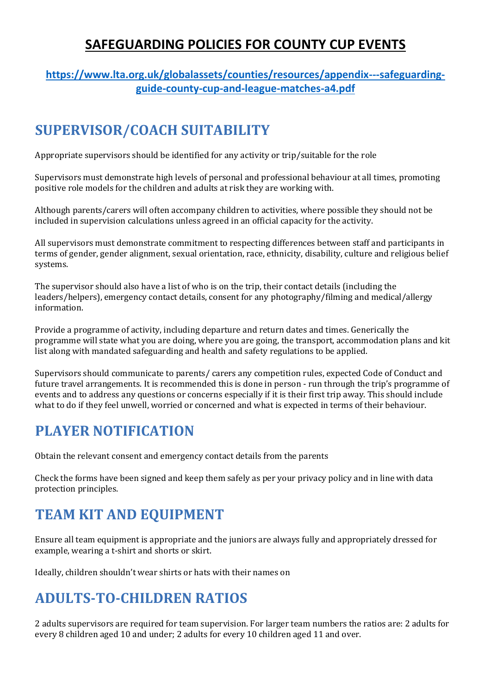#### **SAFEGUARDING POLICIES FOR COUNTY CUP EVENTS**

#### **[https://www.lta.org.uk/globalassets/counties/resources/appendix---safeguarding](https://www.lta.org.uk/globalassets/counties/resources/appendix---safeguarding-guide-county-cup-and-league-matches-a4.pdf)[guide-county-cup-and-league-matches-a4.pdf](https://www.lta.org.uk/globalassets/counties/resources/appendix---safeguarding-guide-county-cup-and-league-matches-a4.pdf)**

# **SUPERVISOR/COACH SUITABILITY**

Appropriate supervisors should be identified for any activity or trip/suitable for the role

Supervisors must demonstrate high levels of personal and professional behaviour at all times, promoting positive role models for the children and adults at risk they are working with.

Although parents/carers will often accompany children to activities, where possible they should not be included in supervision calculations unless agreed in an official capacity for the activity.

All supervisors must demonstrate commitment to respecting differences between staff and participants in terms of gender, gender alignment, sexual orientation, race, ethnicity, disability, culture and religious belief systems.

The supervisor should also have a list of who is on the trip, their contact details (including the leaders/helpers), emergency contact details, consent for any photography/filming and medical/allergy information.

Provide a programme of activity, including departure and return dates and times. Generically the programme will state what you are doing, where you are going, the transport, accommodation plans and kit list along with mandated safeguarding and health and safety regulations to be applied.

Supervisors should communicate to parents/ carers any competition rules, expected Code of Conduct and future travel arrangements. It is recommended this is done in person - run through the trip's programme of events and to address any questions or concerns especially if it is their first trip away. This should include what to do if they feel unwell, worried or concerned and what is expected in terms of their behaviour.

### **PLAYER NOTIFICATION**

Obtain the relevant consent and emergency contact details from the parents

Check the forms have been signed and keep them safely as per your privacy policy and in line with data protection principles.

### **TEAM KIT AND EQUIPMENT**

Ensure all team equipment is appropriate and the juniors are always fully and appropriately dressed for example, wearing a t-shirt and shorts or skirt.

Ideally, children shouldn't wear shirts or hats with their names on

# **ADULTS-TO-CHILDREN RATIOS**

2 adults supervisors are required for team supervision. For larger team numbers the ratios are: 2 adults for every 8 children aged 10 and under; 2 adults for every 10 children aged 11 and over.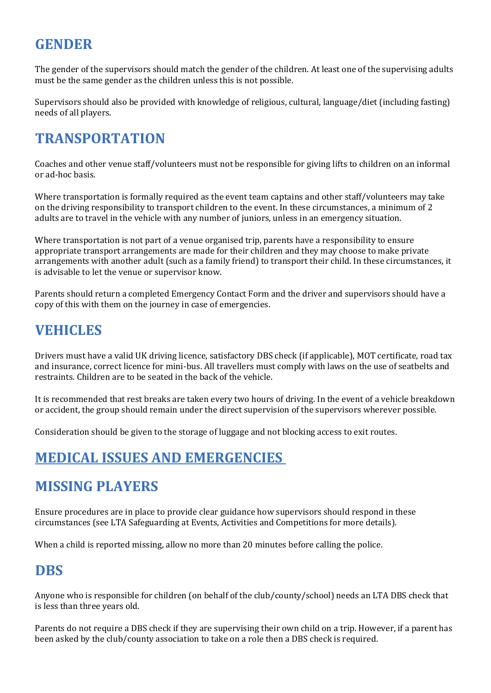#### **GENDER**

The gender of the supervisors should match the gender of the children. At least one of the supervising adults must be the same gender as the children unless this is not possible.

Supervisors should also be provided with knowledge of religious, cultural, language/diet (including fasting) needs of all players.

#### **TRANSPORTATION**

Coaches and other venue staff/volunteers must not be responsible for giving lifts to children on an informal or ad-hoc basis.

Where transportation is formally required as the event team captains and other staff/volunteers may take on the driving responsibility to transport children to the event. In these circumstances, a minimum of 2 adults are to travel in the vehicle with any number of juniors, unless in an emergency situation.

Where transportation is not part of a venue organised trip, parents have a responsibility to ensure appropriate transport arrangements are made for their children and they may choose to make private arrangements with another adult (such as a family friend) to transport their child. In these circumstances, it is advisable to let the venue or supervisor know.

Parents should return a completed Emergency Contact Form and the driver and supervisors should have a copy of this with them on the journey in case of emergencies.

#### **VEHICLES**

Drivers must have a valid UK driving licence, satisfactory DBS check (if applicable), MOT certificate, road tax and insurance, correct licence for mini-bus. All travellers must comply with laws on the use of seatbelts and restraints. Children are to be seated in the back of the vehicle.

It is recommended that rest breaks are taken every two hours of driving. In the event of a vehicle breakdown or accident, the group should remain under the direct supervision of the supervisors wherever possible.

Consideration should be given to the storage of luggage and not blocking access to exit routes.

### **MEDICAL ISSUES AND EMERGENCIES**

#### **MISSING PLAYERS**

Ensure procedures are in place to provide clear guidance how supervisors should respond in these circumstances (see LTA Safeguarding at Events, Activities and Competitions for more details).

When a child is reported missing, allow no more than 20 minutes before calling the police.

#### **DBS**

Anyone who is responsible for children (on behalf of the club/county/school) needs an LTA DBS check that is less than three years old.

Parents do not require a DBS check if they are supervising their own child on a trip. However, if a parent has been asked by the club/county association to take on a role then a DBS check is required.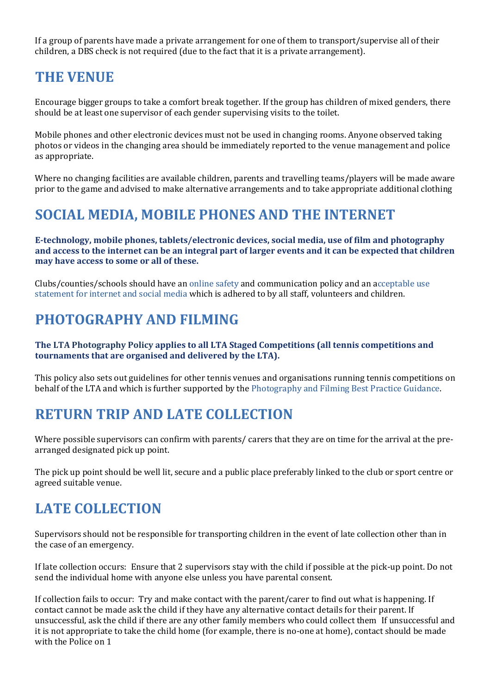If a group of parents have made a private arrangement for one of them to transport/supervise all of their children, a DBS check is not required (due to the fact that it is a private arrangement).

#### **THE VENUE**

Encourage bigger groups to take a comfort break together. If the group has children of mixed genders, there should be at least one supervisor of each gender supervising visits to the toilet.

Mobile phones and other electronic devices must not be used in changing rooms. Anyone observed taking photos or videos in the changing area should be immediately reported to the venue management and police as appropriate.

Where no changing facilities are available children, parents and travelling teams/players will be made aware prior to the game and advised to make alternative arrangements and to take appropriate additional clothing

#### **SOCIAL MEDIA, MOBILE PHONES AND THE INTERNET**

**E-technology, mobile phones, tablets/electronic devices, social media, use of film and photography and access to the internet can be an integral part of larger events and it can be expected that children may have access to some or all of these.** 

Clubs/counties/schools should have an online safety and communication policy and an acceptable use statement for internet and social media which is adhered to by all staff, volunteers and children.

#### **PHOTOGRAPHY AND FILMING**

#### **The LTA Photography Policy applies to all LTA Staged Competitions (all tennis competitions and tournaments that are organised and delivered by the LTA).**

This policy also sets out guidelines for other tennis venues and organisations running tennis competitions on behalf of the LTA and which is further supported by the Photography and Filming Best Practice Guidance.

#### **RETURN TRIP AND LATE COLLECTION**

Where possible supervisors can confirm with parents/ carers that they are on time for the arrival at the prearranged designated pick up point.

The pick up point should be well lit, secure and a public place preferably linked to the club or sport centre or agreed suitable venue.

#### **LATE COLLECTION**

Supervisors should not be responsible for transporting children in the event of late collection other than in the case of an emergency.

If late collection occurs: Ensure that 2 supervisors stay with the child if possible at the pick-up point. Do not send the individual home with anyone else unless you have parental consent.

If collection fails to occur: Try and make contact with the parent/carer to find out what is happening. If contact cannot be made ask the child if they have any alternative contact details for their parent. If unsuccessful, ask the child if there are any other family members who could collect them If unsuccessful and it is not appropriate to take the child home (for example, there is no-one at home), contact should be made with the Police on 1